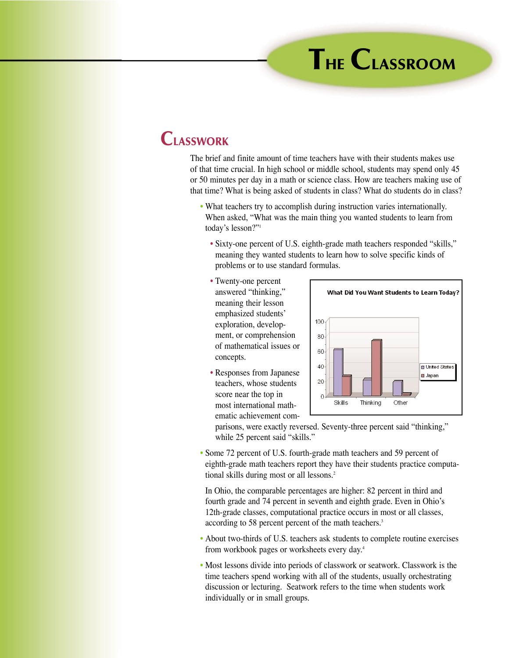## **THE CLASSROOM**

## **CLASSWORK**

The brief and finite amount of time teachers have with their students makes use of that time crucial. In high school or middle school, students may spend only 45 or 50 minutes per day in a math or science class. How are teachers making use of that time? What is being asked of students in class? What do students do in class?

- What teachers try to accomplish during instruction varies internationally. When asked, "What was the main thing you wanted students to learn from today's lesson?"1
	- Sixty-one percent of U.S. eighth-grade math teachers responded "skills," meaning they wanted students to learn how to solve specific kinds of problems or to use standard formulas.
	- Twenty-one percent answered "thinking," meaning their lesson emphasized students' exploration, development, or comprehension of mathematical issues or concepts.
	- Responses from Japanese teachers, whose students score near the top in most international mathematic achievement com-



parisons, were exactly reversed. Seventy-three percent said "thinking," while 25 percent said "skills."

• Some 72 percent of U.S. fourth-grade math teachers and 59 percent of eighth-grade math teachers report they have their students practice computational skills during most or all lessons.<sup>2</sup>

In Ohio, the comparable percentages are higher: 82 percent in third and fourth grade and 74 percent in seventh and eighth grade. Even in Ohio's 12th-grade classes, computational practice occurs in most or all classes, according to 58 percent percent of the math teachers.<sup>3</sup>

- About two-thirds of U.S. teachers ask students to complete routine exercises from workbook pages or worksheets every day.4
- Most lessons divide into periods of classwork or seatwork. Classwork is the time teachers spend working with all of the students, usually orchestrating discussion or lecturing. Seatwork refers to the time when students work individually or in small groups.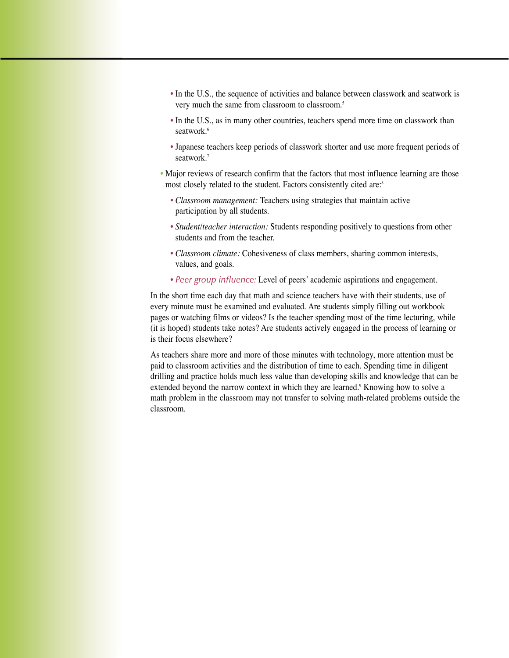- In the U.S., the sequence of activities and balance between classwork and seatwork is very much the same from classroom to classroom.<sup>5</sup>
- In the U.S., as in many other countries, teachers spend more time on classwork than seatwork.<sup>6</sup>
- Japanese teachers keep periods of classwork shorter and use more frequent periods of seatwork.7
- Major reviews of research confirm that the factors that most influence learning are those most closely related to the student. Factors consistently cited are:<sup>8</sup>
	- *Classroom management:* Teachers using strategies that maintain active participation by all students.
	- *Student/teacher interaction:* Students responding positively to questions from other students and from the teacher.
	- *Classroom climate:* Cohesiveness of class members, sharing common interests, values, and goals.
	- *Peer group influence:* Level of peers' academic aspirations and engagement.

In the short time each day that math and science teachers have with their students, use of every minute must be examined and evaluated. Are students simply filling out workbook pages or watching films or videos? Is the teacher spending most of the time lecturing, while (it is hoped) students take notes? Are students actively engaged in the process of learning or is their focus elsewhere?

As teachers share more and more of those minutes with technology, more attention must be paid to classroom activities and the distribution of time to each. Spending time in diligent drilling and practice holds much less value than developing skills and knowledge that can be extended beyond the narrow context in which they are learned.<sup>9</sup> Knowing how to solve a math problem in the classroom may not transfer to solving math-related problems outside the classroom.